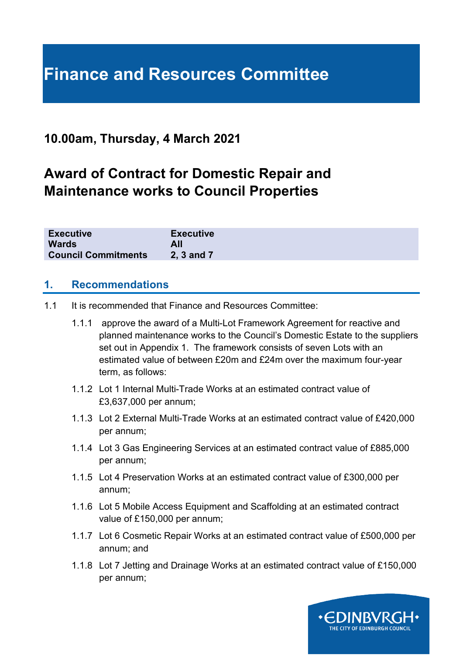# **Finance and Resources Committee**

# **10.00am, Thursday, 4 March 2021**

# **Award of Contract for Domestic Repair and Maintenance works to Council Properties**

| <b>Executive</b>           | <b>Executive</b> |
|----------------------------|------------------|
| <b>Wards</b>               | All              |
| <b>Council Commitments</b> | 2, 3 and 7       |

#### **1. Recommendations**

- 1.1 It is recommended that Finance and Resources Committee:
	- 1.1.1 approve the award of a Multi-Lot Framework Agreement for reactive and planned maintenance works to the Council's Domestic Estate to the suppliers set out in Appendix 1. The framework consists of seven Lots with an estimated value of between £20m and £24m over the maximum four-year term, as follows:
	- 1.1.2 Lot 1 Internal Multi-Trade Works at an estimated contract value of £3,637,000 per annum;
	- 1.1.3 Lot 2 External Multi-Trade Works at an estimated contract value of £420,000 per annum;
	- 1.1.4 Lot 3 Gas Engineering Services at an estimated contract value of £885,000 per annum;
	- 1.1.5 Lot 4 Preservation Works at an estimated contract value of £300,000 per annum;
	- 1.1.6 Lot 5 Mobile Access Equipment and Scaffolding at an estimated contract value of £150,000 per annum;
	- 1.1.7 Lot 6 Cosmetic Repair Works at an estimated contract value of £500,000 per annum; and
	- 1.1.8 Lot 7 Jetting and Drainage Works at an estimated contract value of £150,000 per annum;

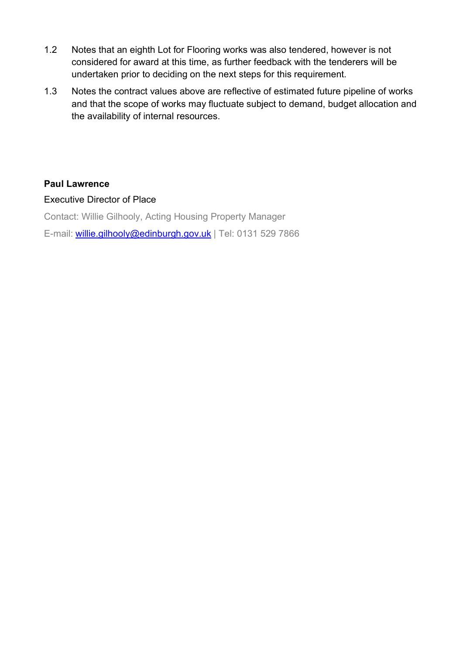- 1.2 Notes that an eighth Lot for Flooring works was also tendered, however is not considered for award at this time, as further feedback with the tenderers will be undertaken prior to deciding on the next steps for this requirement.
- 1.3 Notes the contract values above are reflective of estimated future pipeline of works and that the scope of works may fluctuate subject to demand, budget allocation and the availability of internal resources.

#### **Paul Lawrence**

#### Executive Director of Place

Contact: Willie Gilhooly, Acting Housing Property Manager

E-mail: [willie.gilhooly@edinburgh.gov.uk](mailto:willie.gilhooly@edinburgh.gov.uk) | Tel: 0131 529 7866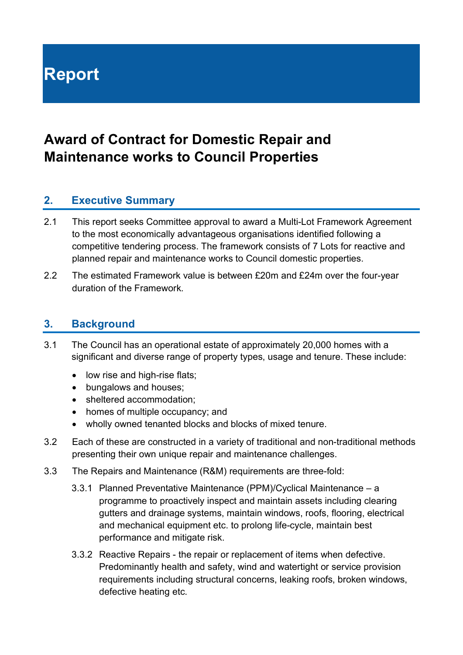# **Report**

# **Award of Contract for Domestic Repair and Maintenance works to Council Properties**

## **2. Executive Summary**

- 2.1 This report seeks Committee approval to award a Multi-Lot Framework Agreement to the most economically advantageous organisations identified following a competitive tendering process. The framework consists of 7 Lots for reactive and planned repair and maintenance works to Council domestic properties.
- 2.2 The estimated Framework value is between £20m and £24m over the four-year duration of the Framework.

#### **3. Background**

- 3.1 The Council has an operational estate of approximately 20,000 homes with a significant and diverse range of property types, usage and tenure. These include:
	- low rise and high-rise flats;
	- bungalows and houses;
	- sheltered accommodation;
	- homes of multiple occupancy; and
	- wholly owned tenanted blocks and blocks of mixed tenure.
- 3.2 Each of these are constructed in a variety of traditional and non-traditional methods presenting their own unique repair and maintenance challenges.
- 3.3 The Repairs and Maintenance (R&M) requirements are three-fold:
	- 3.3.1 Planned Preventative Maintenance (PPM)/Cyclical Maintenance a programme to proactively inspect and maintain assets including clearing gutters and drainage systems, maintain windows, roofs, flooring, electrical and mechanical equipment etc. to prolong life-cycle, maintain best performance and mitigate risk.
	- 3.3.2 Reactive Repairs the repair or replacement of items when defective. Predominantly health and safety, wind and watertight or service provision requirements including structural concerns, leaking roofs, broken windows, defective heating etc.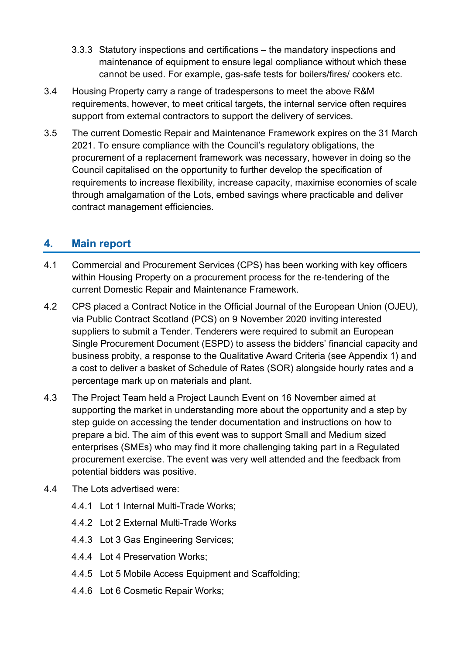- 3.3.3 Statutory inspections and certifications the mandatory inspections and maintenance of equipment to ensure legal compliance without which these cannot be used. For example, gas-safe tests for boilers/fires/ cookers etc.
- 3.4 Housing Property carry a range of tradespersons to meet the above R&M requirements, however, to meet critical targets, the internal service often requires support from external contractors to support the delivery of services.
- 3.5 The current Domestic Repair and Maintenance Framework expires on the 31 March 2021. To ensure compliance with the Council's regulatory obligations, the procurement of a replacement framework was necessary, however in doing so the Council capitalised on the opportunity to further develop the specification of requirements to increase flexibility, increase capacity, maximise economies of scale through amalgamation of the Lots, embed savings where practicable and deliver contract management efficiencies.

# **4. Main report**

- 4.1 Commercial and Procurement Services (CPS) has been working with key officers within Housing Property on a procurement process for the re-tendering of the current Domestic Repair and Maintenance Framework.
- 4.2 CPS placed a Contract Notice in the Official Journal of the European Union (OJEU), via Public Contract Scotland (PCS) on 9 November 2020 inviting interested suppliers to submit a Tender. Tenderers were required to submit an European Single Procurement Document (ESPD) to assess the bidders' financial capacity and business probity, a response to the Qualitative Award Criteria (see Appendix 1) and a cost to deliver a basket of Schedule of Rates (SOR) alongside hourly rates and a percentage mark up on materials and plant.
- 4.3 The Project Team held a Project Launch Event on 16 November aimed at supporting the market in understanding more about the opportunity and a step by step guide on accessing the tender documentation and instructions on how to prepare a bid. The aim of this event was to support Small and Medium sized enterprises (SMEs) who may find it more challenging taking part in a Regulated procurement exercise. The event was very well attended and the feedback from potential bidders was positive.
- 4.4 The Lots advertised were:
	- 4.4.1 Lot 1 Internal Multi-Trade Works;
	- 4.4.2 Lot 2 External Multi-Trade Works
	- 4.4.3 Lot 3 Gas Engineering Services;
	- 4.4.4 Lot 4 Preservation Works;
	- 4.4.5 Lot 5 Mobile Access Equipment and Scaffolding;
	- 4.4.6 Lot 6 Cosmetic Repair Works;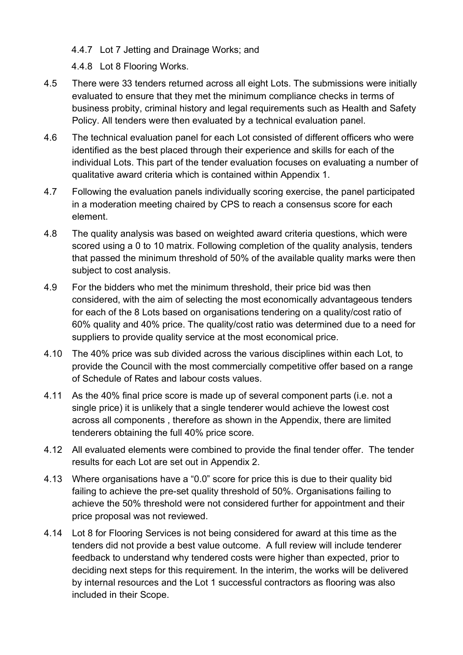- 4.4.7 Lot 7 Jetting and Drainage Works; and
- 4.4.8 Lot 8 Flooring Works.
- 4.5 There were 33 tenders returned across all eight Lots. The submissions were initially evaluated to ensure that they met the minimum compliance checks in terms of business probity, criminal history and legal requirements such as Health and Safety Policy. All tenders were then evaluated by a technical evaluation panel.
- 4.6 The technical evaluation panel for each Lot consisted of different officers who were identified as the best placed through their experience and skills for each of the individual Lots. This part of the tender evaluation focuses on evaluating a number of qualitative award criteria which is contained within Appendix 1.
- 4.7 Following the evaluation panels individually scoring exercise, the panel participated in a moderation meeting chaired by CPS to reach a consensus score for each element.
- 4.8 The quality analysis was based on weighted award criteria questions, which were scored using a 0 to 10 matrix. Following completion of the quality analysis, tenders that passed the minimum threshold of 50% of the available quality marks were then subject to cost analysis.
- 4.9 For the bidders who met the minimum threshold, their price bid was then considered, with the aim of selecting the most economically advantageous tenders for each of the 8 Lots based on organisations tendering on a quality/cost ratio of 60% quality and 40% price. The quality/cost ratio was determined due to a need for suppliers to provide quality service at the most economical price.
- 4.10 The 40% price was sub divided across the various disciplines within each Lot, to provide the Council with the most commercially competitive offer based on a range of Schedule of Rates and labour costs values.
- 4.11 As the 40% final price score is made up of several component parts (i.e. not a single price) it is unlikely that a single tenderer would achieve the lowest cost across all components , therefore as shown in the Appendix, there are limited tenderers obtaining the full 40% price score.
- 4.12 All evaluated elements were combined to provide the final tender offer. The tender results for each Lot are set out in Appendix 2.
- 4.13 Where organisations have a "0.0" score for price this is due to their quality bid failing to achieve the pre-set quality threshold of 50%. Organisations failing to achieve the 50% threshold were not considered further for appointment and their price proposal was not reviewed.
- 4.14 Lot 8 for Flooring Services is not being considered for award at this time as the tenders did not provide a best value outcome. A full review will include tenderer feedback to understand why tendered costs were higher than expected, prior to deciding next steps for this requirement. In the interim, the works will be delivered by internal resources and the Lot 1 successful contractors as flooring was also included in their Scope.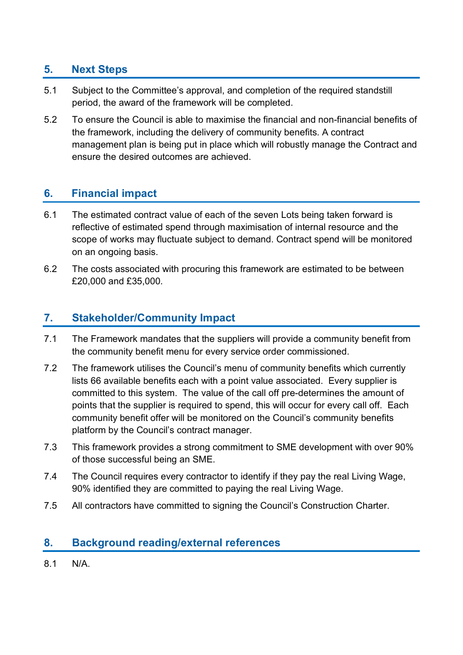# **5. Next Steps**

- 5.1 Subject to the Committee's approval, and completion of the required standstill period, the award of the framework will be completed.
- 5.2 To ensure the Council is able to maximise the financial and non-financial benefits of the framework, including the delivery of community benefits. A contract management plan is being put in place which will robustly manage the Contract and ensure the desired outcomes are achieved.

## **6. Financial impact**

- 6.1 The estimated contract value of each of the seven Lots being taken forward is reflective of estimated spend through maximisation of internal resource and the scope of works may fluctuate subject to demand. Contract spend will be monitored on an ongoing basis.
- 6.2 The costs associated with procuring this framework are estimated to be between £20,000 and £35,000.

## **7. Stakeholder/Community Impact**

- 7.1 The Framework mandates that the suppliers will provide a community benefit from the community benefit menu for every service order commissioned.
- 7.2 The framework utilises the Council's menu of community benefits which currently lists 66 available benefits each with a point value associated. Every supplier is committed to this system. The value of the call off pre-determines the amount of points that the supplier is required to spend, this will occur for every call off. Each community benefit offer will be monitored on the Council's community benefits platform by the Council's contract manager.
- 7.3 This framework provides a strong commitment to SME development with over 90% of those successful being an SME.
- 7.4 The Council requires every contractor to identify if they pay the real Living Wage, 90% identified they are committed to paying the real Living Wage.
- 7.5 All contractors have committed to signing the Council's Construction Charter.

## **8. Background reading/external references**

8.1 N/A.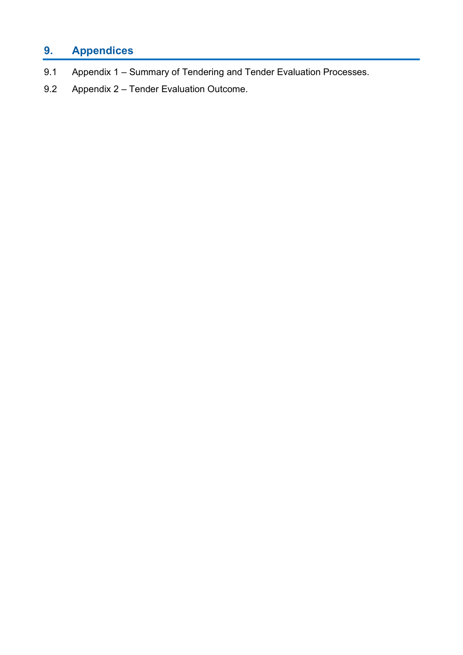# **9. Appendices**

- 9.1 Appendix 1 Summary of Tendering and Tender Evaluation Processes.
- 9.2 Appendix 2 Tender Evaluation Outcome.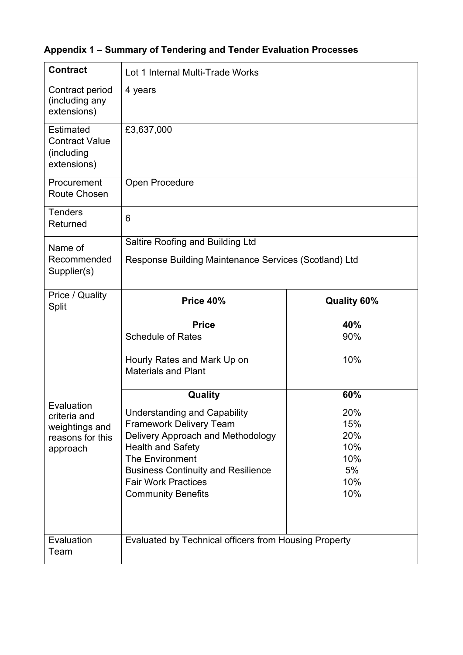| Appendix 1 – Summary of Tendering and Tender Evaluation Processes |                                  |  |  |
|-------------------------------------------------------------------|----------------------------------|--|--|
| <b>Contract</b>                                                   | Lot 1 Internal Multi-Trade Works |  |  |
| Contract period<br>(including any<br>extensions)                  | 4 years                          |  |  |
| Estimated<br><b>Contract Value</b><br>(including)                 | £3,637,000                       |  |  |

#### **Appendix 1 – Summary of Tendering and Tender Evaluation Processes**

Open Procedure

Saltire Roofing and Building Ltd

extensions)

**Procurement** Route Chosen

Returned 6

Tenders

Name of

Recommended

| Supplier(s)                     |                                                           |                    |
|---------------------------------|-----------------------------------------------------------|--------------------|
| Price / Quality<br><b>Split</b> | Price 40%                                                 | <b>Quality 60%</b> |
|                                 | <b>Price</b>                                              | 40%                |
|                                 | <b>Schedule of Rates</b>                                  | 90%                |
|                                 | Hourly Rates and Mark Up on<br><b>Materials and Plant</b> | 10%                |
|                                 | Quality                                                   | 60%                |
| Evaluation<br>criteria and      | <b>Understanding and Capability</b>                       | 20%                |
| weightings and                  | <b>Framework Delivery Team</b>                            | 15%                |
| reasons for this                | Delivery Approach and Methodology                         | 20%                |
| approach                        | <b>Health and Safety</b>                                  | 10%                |
|                                 | <b>The Environment</b>                                    | 10%                |
|                                 | <b>Business Continuity and Resilience</b>                 | 5%                 |
|                                 | <b>Fair Work Practices</b>                                | 10%                |
|                                 | <b>Community Benefits</b>                                 | 10%                |
|                                 |                                                           |                    |
| Evaluation                      | Evaluated by Technical officers from Housing Property     |                    |
| Team                            |                                                           |                    |

Response Building Maintenance Services (Scotland) Ltd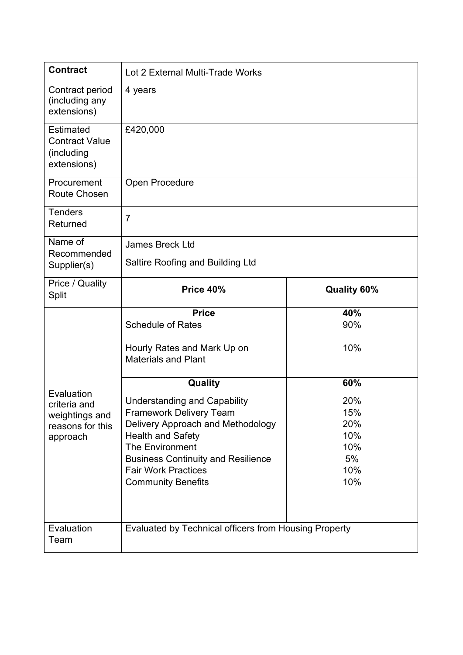| <b>Contract</b>                                                              | Lot 2 External Multi-Trade Works                                                                                                                                                                                                                                  |                                                     |  |  |  |
|------------------------------------------------------------------------------|-------------------------------------------------------------------------------------------------------------------------------------------------------------------------------------------------------------------------------------------------------------------|-----------------------------------------------------|--|--|--|
| Contract period<br>(including any<br>extensions)                             | 4 years                                                                                                                                                                                                                                                           |                                                     |  |  |  |
| Estimated<br><b>Contract Value</b><br>(including<br>extensions)              | £420,000                                                                                                                                                                                                                                                          |                                                     |  |  |  |
| Procurement<br>Route Chosen                                                  | Open Procedure                                                                                                                                                                                                                                                    |                                                     |  |  |  |
| <b>Tenders</b><br>Returned                                                   | $\overline{7}$                                                                                                                                                                                                                                                    |                                                     |  |  |  |
| Name of<br>Recommended                                                       | <b>James Breck Ltd</b>                                                                                                                                                                                                                                            |                                                     |  |  |  |
| Supplier(s)                                                                  | <b>Saltire Roofing and Building Ltd</b>                                                                                                                                                                                                                           |                                                     |  |  |  |
| Price / Quality<br><b>Split</b>                                              | Price 40%<br><b>Quality 60%</b>                                                                                                                                                                                                                                   |                                                     |  |  |  |
|                                                                              | <b>Price</b><br><b>Schedule of Rates</b><br>Hourly Rates and Mark Up on<br><b>Materials and Plant</b>                                                                                                                                                             | 40%<br>90%<br>10%                                   |  |  |  |
|                                                                              |                                                                                                                                                                                                                                                                   |                                                     |  |  |  |
|                                                                              | Quality                                                                                                                                                                                                                                                           | 60%                                                 |  |  |  |
| Evaluation<br>criteria and<br>weightings and<br>reasons for this<br>approach | <b>Understanding and Capability</b><br><b>Framework Delivery Team</b><br>Delivery Approach and Methodology<br><b>Health and Safety</b><br>The Environment<br><b>Business Continuity and Resilience</b><br><b>Fair Work Practices</b><br><b>Community Benefits</b> | 20%<br>15%<br>20%<br>10%<br>10%<br>5%<br>10%<br>10% |  |  |  |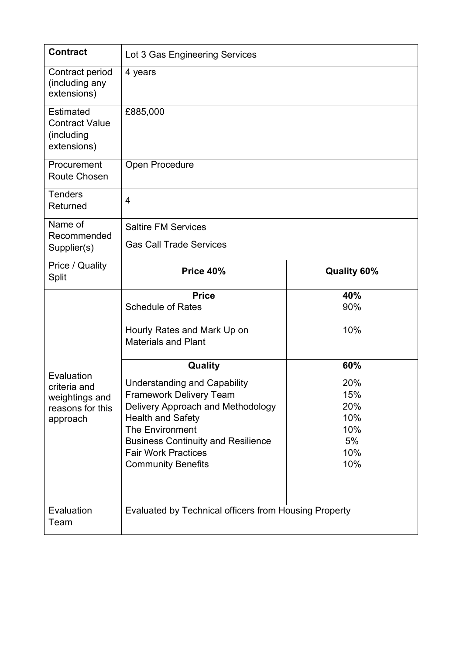| <b>Contract</b>                                                              | Lot 3 Gas Engineering Services                                                                                                                                                                                                                                           |                                                     |  |  |  |
|------------------------------------------------------------------------------|--------------------------------------------------------------------------------------------------------------------------------------------------------------------------------------------------------------------------------------------------------------------------|-----------------------------------------------------|--|--|--|
| Contract period<br>(including any<br>extensions)                             | 4 years                                                                                                                                                                                                                                                                  |                                                     |  |  |  |
| Estimated<br><b>Contract Value</b><br>(including<br>extensions)              | £885,000                                                                                                                                                                                                                                                                 |                                                     |  |  |  |
| Procurement<br><b>Route Chosen</b>                                           | <b>Open Procedure</b>                                                                                                                                                                                                                                                    |                                                     |  |  |  |
| <b>Tenders</b><br>Returned                                                   | $\overline{4}$                                                                                                                                                                                                                                                           |                                                     |  |  |  |
| Name of                                                                      | <b>Saltire FM Services</b>                                                                                                                                                                                                                                               |                                                     |  |  |  |
| Recommended<br>Supplier(s)                                                   | <b>Gas Call Trade Services</b>                                                                                                                                                                                                                                           |                                                     |  |  |  |
| Price / Quality<br>Split                                                     | Price 40%<br><b>Quality 60%</b>                                                                                                                                                                                                                                          |                                                     |  |  |  |
|                                                                              | <b>Price</b><br>40%<br><b>Schedule of Rates</b><br>90%<br>10%<br>Hourly Rates and Mark Up on<br><b>Materials and Plant</b>                                                                                                                                               |                                                     |  |  |  |
|                                                                              | <b>Quality</b>                                                                                                                                                                                                                                                           | 60%                                                 |  |  |  |
| Evaluation<br>criteria and<br>weightings and<br>reasons for this<br>approach | <b>Understanding and Capability</b><br><b>Framework Delivery Team</b><br>Delivery Approach and Methodology<br><b>Health and Safety</b><br><b>The Environment</b><br><b>Business Continuity and Resilience</b><br><b>Fair Work Practices</b><br><b>Community Benefits</b> | 20%<br>15%<br>20%<br>10%<br>10%<br>5%<br>10%<br>10% |  |  |  |
| Evaluation<br>Team                                                           | Evaluated by Technical officers from Housing Property                                                                                                                                                                                                                    |                                                     |  |  |  |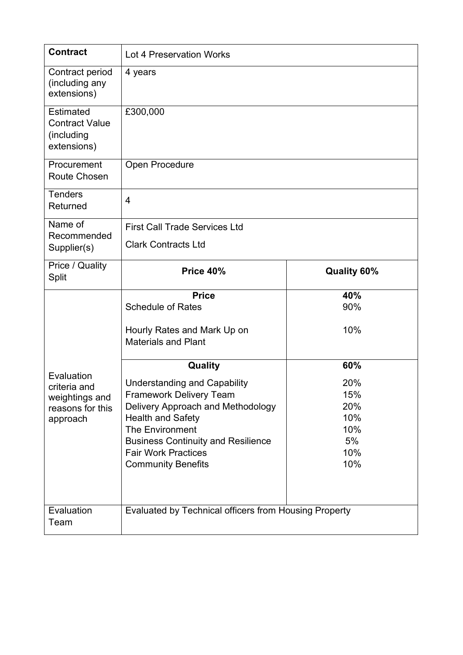| <b>Contract</b>                                                 | Lot 4 Preservation Works                                                |                   |  |  |  |
|-----------------------------------------------------------------|-------------------------------------------------------------------------|-------------------|--|--|--|
| Contract period<br>(including any<br>extensions)                | 4 years                                                                 |                   |  |  |  |
| Estimated<br><b>Contract Value</b><br>(including<br>extensions) | £300,000                                                                |                   |  |  |  |
| Procurement<br><b>Route Chosen</b>                              | Open Procedure                                                          |                   |  |  |  |
| <b>Tenders</b><br>Returned                                      | 4                                                                       |                   |  |  |  |
| Name of                                                         | <b>First Call Trade Services Ltd</b>                                    |                   |  |  |  |
| Recommended<br>Supplier(s)                                      | <b>Clark Contracts Ltd</b>                                              |                   |  |  |  |
| Price / Quality<br>Split                                        | Price 40%<br><b>Quality 60%</b>                                         |                   |  |  |  |
|                                                                 | <b>Price</b><br><b>Schedule of Rates</b><br>Hourly Rates and Mark Up on | 40%<br>90%<br>10% |  |  |  |
|                                                                 | <b>Materials and Plant</b>                                              |                   |  |  |  |
| Evaluation                                                      | Quality                                                                 | 60%               |  |  |  |
| criteria and                                                    | <b>Understanding and Capability</b>                                     | 20%               |  |  |  |
| weightings and                                                  | <b>Framework Delivery Team</b>                                          | 15%<br>20%        |  |  |  |
| reasons for this<br>approach                                    | Delivery Approach and Methodology<br><b>Health and Safety</b>           | 10%               |  |  |  |
|                                                                 | <b>The Environment</b>                                                  | 10%               |  |  |  |
|                                                                 | <b>Business Continuity and Resilience</b>                               | 5%                |  |  |  |
|                                                                 | <b>Fair Work Practices</b>                                              | 10%               |  |  |  |
|                                                                 | <b>Community Benefits</b>                                               | 10%               |  |  |  |
| Evaluation<br>Team                                              | Evaluated by Technical officers from Housing Property                   |                   |  |  |  |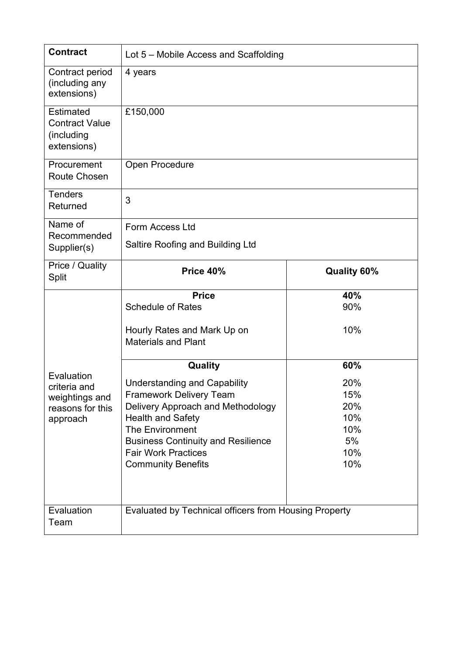| <b>Contract</b>                                                              | Lot 5 – Mobile Access and Scaffolding                                                                                                                                                                                                                                    |                                                     |  |  |  |
|------------------------------------------------------------------------------|--------------------------------------------------------------------------------------------------------------------------------------------------------------------------------------------------------------------------------------------------------------------------|-----------------------------------------------------|--|--|--|
| Contract period<br>(including any<br>extensions)                             | 4 years                                                                                                                                                                                                                                                                  |                                                     |  |  |  |
| Estimated<br><b>Contract Value</b><br>(including<br>extensions)              | £150,000                                                                                                                                                                                                                                                                 |                                                     |  |  |  |
| Procurement<br><b>Route Chosen</b>                                           | <b>Open Procedure</b>                                                                                                                                                                                                                                                    |                                                     |  |  |  |
| <b>Tenders</b><br>Returned                                                   | 3                                                                                                                                                                                                                                                                        |                                                     |  |  |  |
| Name of                                                                      | Form Access Ltd                                                                                                                                                                                                                                                          |                                                     |  |  |  |
| Recommended<br>Supplier(s)                                                   | Saltire Roofing and Building Ltd                                                                                                                                                                                                                                         |                                                     |  |  |  |
| Price / Quality<br>Split                                                     | Price 40%<br><b>Quality 60%</b>                                                                                                                                                                                                                                          |                                                     |  |  |  |
|                                                                              | <b>Price</b><br><b>Schedule of Rates</b><br>Hourly Rates and Mark Up on<br><b>Materials and Plant</b>                                                                                                                                                                    | 40%<br>90%<br>10%                                   |  |  |  |
|                                                                              | Quality                                                                                                                                                                                                                                                                  | 60%                                                 |  |  |  |
| Evaluation<br>criteria and<br>weightings and<br>reasons for this<br>approach | <b>Understanding and Capability</b><br><b>Framework Delivery Team</b><br>Delivery Approach and Methodology<br><b>Health and Safety</b><br><b>The Environment</b><br><b>Business Continuity and Resilience</b><br><b>Fair Work Practices</b><br><b>Community Benefits</b> | 20%<br>15%<br>20%<br>10%<br>10%<br>5%<br>10%<br>10% |  |  |  |
| Evaluation<br>Team                                                           | Evaluated by Technical officers from Housing Property                                                                                                                                                                                                                    |                                                     |  |  |  |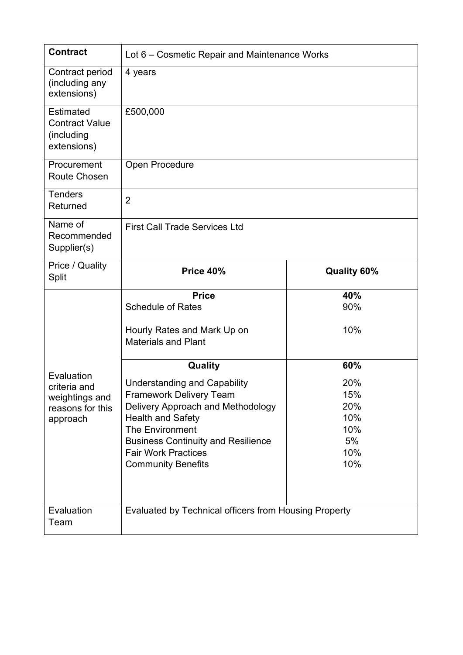| <b>Contract</b>                                                              | Lot 6 – Cosmetic Repair and Maintenance Works                                                                                                                                                                                                                                              |                                                            |  |  |  |
|------------------------------------------------------------------------------|--------------------------------------------------------------------------------------------------------------------------------------------------------------------------------------------------------------------------------------------------------------------------------------------|------------------------------------------------------------|--|--|--|
| Contract period<br>(including any<br>extensions)                             | 4 years                                                                                                                                                                                                                                                                                    |                                                            |  |  |  |
| Estimated<br><b>Contract Value</b><br>(including<br>extensions)              | £500,000                                                                                                                                                                                                                                                                                   |                                                            |  |  |  |
| Procurement<br><b>Route Chosen</b>                                           | Open Procedure                                                                                                                                                                                                                                                                             |                                                            |  |  |  |
| <b>Tenders</b><br>Returned                                                   | $\overline{2}$                                                                                                                                                                                                                                                                             |                                                            |  |  |  |
| Name of<br>Recommended<br>Supplier(s)                                        | <b>First Call Trade Services Ltd</b>                                                                                                                                                                                                                                                       |                                                            |  |  |  |
| Price / Quality<br>Split                                                     | Price 40%<br><b>Quality 60%</b>                                                                                                                                                                                                                                                            |                                                            |  |  |  |
|                                                                              | 40%<br><b>Price</b><br><b>Schedule of Rates</b><br>90%<br>10%<br>Hourly Rates and Mark Up on<br><b>Materials and Plant</b>                                                                                                                                                                 |                                                            |  |  |  |
| Evaluation<br>criteria and<br>weightings and<br>reasons for this<br>approach | <b>Quality</b><br><b>Understanding and Capability</b><br><b>Framework Delivery Team</b><br>Delivery Approach and Methodology<br><b>Health and Safety</b><br><b>The Environment</b><br><b>Business Continuity and Resilience</b><br><b>Fair Work Practices</b><br><b>Community Benefits</b> | 60%<br>20%<br>15%<br>20%<br>10%<br>10%<br>5%<br>10%<br>10% |  |  |  |
| Evaluation<br>Team                                                           | Evaluated by Technical officers from Housing Property                                                                                                                                                                                                                                      |                                                            |  |  |  |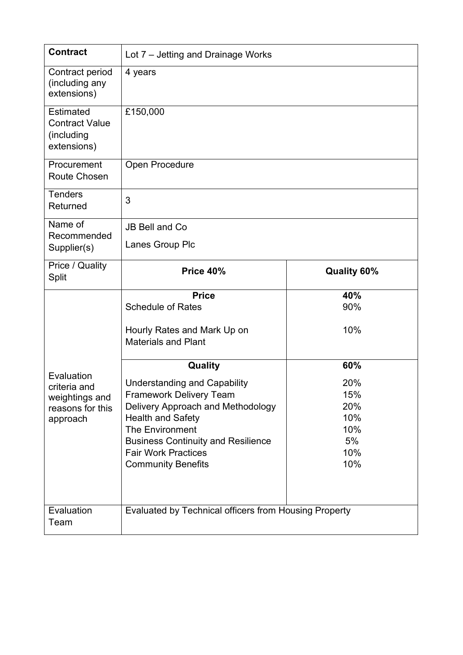| <b>Contract</b>                                                 | Lot 7 – Jetting and Drainage Works                            |            |  |  |  |
|-----------------------------------------------------------------|---------------------------------------------------------------|------------|--|--|--|
| Contract period<br>(including any<br>extensions)                | 4 years                                                       |            |  |  |  |
| Estimated<br><b>Contract Value</b><br>(including<br>extensions) | £150,000                                                      |            |  |  |  |
| Procurement<br><b>Route Chosen</b>                              | Open Procedure                                                |            |  |  |  |
| <b>Tenders</b><br>Returned                                      | 3                                                             |            |  |  |  |
| Name of<br>Recommended                                          | <b>JB Bell and Co</b>                                         |            |  |  |  |
| Supplier(s)                                                     | Lanes Group Plc                                               |            |  |  |  |
| Price / Quality<br>Split                                        | Price 40%<br><b>Quality 60%</b>                               |            |  |  |  |
|                                                                 | <b>Price</b><br><b>Schedule of Rates</b>                      | 40%<br>90% |  |  |  |
|                                                                 | Hourly Rates and Mark Up on<br><b>Materials and Plant</b>     | 10%        |  |  |  |
|                                                                 | Quality                                                       | 60%        |  |  |  |
| Evaluation<br>criteria and                                      | <b>Understanding and Capability</b>                           | 20%        |  |  |  |
| weightings and                                                  | <b>Framework Delivery Team</b>                                | 15%        |  |  |  |
| reasons for this                                                | Delivery Approach and Methodology<br><b>Health and Safety</b> | 20%<br>10% |  |  |  |
| approach                                                        | <b>The Environment</b>                                        | 10%        |  |  |  |
|                                                                 | <b>Business Continuity and Resilience</b>                     | 5%         |  |  |  |
|                                                                 | <b>Fair Work Practices</b>                                    | 10%        |  |  |  |
|                                                                 | <b>Community Benefits</b>                                     | 10%        |  |  |  |
| Evaluation<br>Team                                              | Evaluated by Technical officers from Housing Property         |            |  |  |  |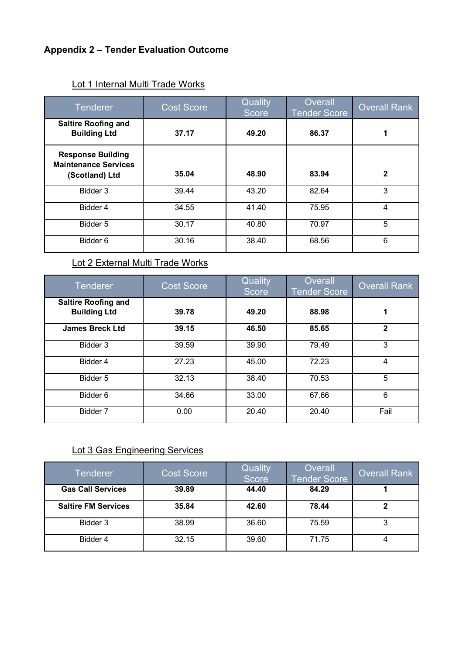# **Appendix 2 – Tender Evaluation Outcome**

| <b>Tenderer</b>                                                           | <b>Cost Score</b> | Quality<br><b>Score</b> | Overall<br><b>Tender Score</b> | <b>Overall Rank</b> |
|---------------------------------------------------------------------------|-------------------|-------------------------|--------------------------------|---------------------|
| <b>Saltire Roofing and</b><br><b>Building Ltd</b>                         | 37.17             | 49.20                   | 86.37                          |                     |
| <b>Response Building</b><br><b>Maintenance Services</b><br>(Scotland) Ltd | 35.04             | 48.90                   | 83.94                          | $\mathbf{2}$        |
| Bidder 3                                                                  | 39.44             | 43.20                   | 82.64                          | 3                   |
| Bidder 4                                                                  | 34.55             | 41.40                   | 75.95                          | 4                   |
| Bidder 5                                                                  | 30.17             | 40.80                   | 70.97                          | 5                   |
| Bidder 6                                                                  | 30.16             | 38.40                   | 68.56                          | 6                   |

## Lot 1 Internal Multi Trade Works

#### Lot 2 External Multi Trade Works

| <b>Tenderer</b>                                   | <b>Cost Score</b> | Quality<br><b>Score</b> | Overall<br><b>Tender Score</b> | <b>Overall Rank</b> |
|---------------------------------------------------|-------------------|-------------------------|--------------------------------|---------------------|
| <b>Saltire Roofing and</b><br><b>Building Ltd</b> | 39.78             | 49.20                   | 88.98                          | 1                   |
| <b>James Breck Ltd</b>                            | 39.15             | 46.50                   | 85.65                          | $\mathbf{2}$        |
| Bidder 3                                          | 39.59             | 39.90                   | 79.49                          | 3                   |
| Bidder 4                                          | 27.23             | 45.00                   | 72.23                          | 4                   |
| Bidder 5                                          | 32.13             | 38.40                   | 70.53                          | 5                   |
| Bidder 6                                          | 34.66             | 33.00                   | 67.66                          | 6                   |
| Bidder 7                                          | 0.00              | 20.40                   | 20.40                          | Fail                |

#### Lot 3 Gas Engineering Services

| Tenderer                   | <b>Cost Score</b> | Quality<br><b>Score</b> | Overall<br><b>Tender Score</b> | ∣Overall Rank <sup>∖</sup> |
|----------------------------|-------------------|-------------------------|--------------------------------|----------------------------|
| <b>Gas Call Services</b>   | 39.89             | 44.40                   | 84.29                          |                            |
| <b>Saltire FM Services</b> | 35.84             | 42.60                   | 78.44                          |                            |
| Bidder 3                   | 38.99             | 36.60                   | 75.59                          |                            |
| Bidder 4                   | 32.15             | 39.60                   | 71.75                          |                            |